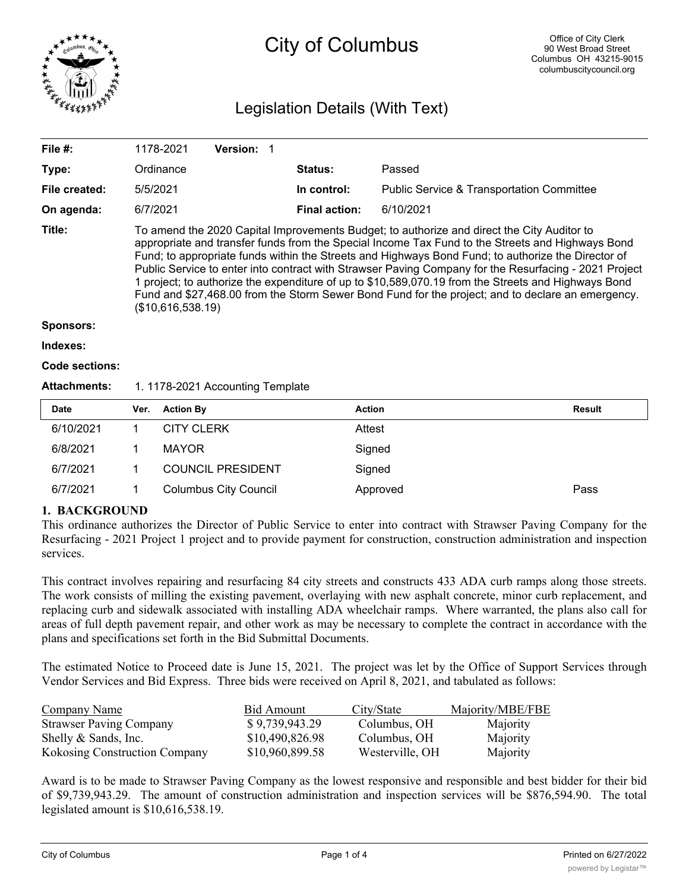

# City of Columbus

## Legislation Details (With Text)

| File #:             |                                                                                                                                                                                                                                                                                                                                                                                                                                                                                                                                                                                                                                                | 1178-2021         | Version: 1 |  |                      |                                                      |               |
|---------------------|------------------------------------------------------------------------------------------------------------------------------------------------------------------------------------------------------------------------------------------------------------------------------------------------------------------------------------------------------------------------------------------------------------------------------------------------------------------------------------------------------------------------------------------------------------------------------------------------------------------------------------------------|-------------------|------------|--|----------------------|------------------------------------------------------|---------------|
| Type:               |                                                                                                                                                                                                                                                                                                                                                                                                                                                                                                                                                                                                                                                | Ordinance         |            |  | <b>Status:</b>       | Passed                                               |               |
| File created:       |                                                                                                                                                                                                                                                                                                                                                                                                                                                                                                                                                                                                                                                | 5/5/2021          |            |  | In control:          | <b>Public Service &amp; Transportation Committee</b> |               |
| On agenda:          |                                                                                                                                                                                                                                                                                                                                                                                                                                                                                                                                                                                                                                                | 6/7/2021          |            |  | <b>Final action:</b> | 6/10/2021                                            |               |
| Title:              | To amend the 2020 Capital Improvements Budget; to authorize and direct the City Auditor to<br>appropriate and transfer funds from the Special Income Tax Fund to the Streets and Highways Bond<br>Fund; to appropriate funds within the Streets and Highways Bond Fund; to authorize the Director of<br>Public Service to enter into contract with Strawser Paving Company for the Resurfacing - 2021 Project<br>1 project; to authorize the expenditure of up to \$10,589,070.19 from the Streets and Highways Bond<br>Fund and \$27,468.00 from the Storm Sewer Bond Fund for the project; and to declare an emergency.<br>(\$10,616,538.19) |                   |            |  |                      |                                                      |               |
| <b>Sponsors:</b>    |                                                                                                                                                                                                                                                                                                                                                                                                                                                                                                                                                                                                                                                |                   |            |  |                      |                                                      |               |
| Indexes:            |                                                                                                                                                                                                                                                                                                                                                                                                                                                                                                                                                                                                                                                |                   |            |  |                      |                                                      |               |
| Code sections:      |                                                                                                                                                                                                                                                                                                                                                                                                                                                                                                                                                                                                                                                |                   |            |  |                      |                                                      |               |
| <b>Attachments:</b> | 1. 1178-2021 Accounting Template                                                                                                                                                                                                                                                                                                                                                                                                                                                                                                                                                                                                               |                   |            |  |                      |                                                      |               |
| <b>Date</b>         | Ver.                                                                                                                                                                                                                                                                                                                                                                                                                                                                                                                                                                                                                                           | <b>Action By</b>  |            |  | <b>Action</b>        |                                                      | <b>Result</b> |
| 6/10/2021           | 1                                                                                                                                                                                                                                                                                                                                                                                                                                                                                                                                                                                                                                              | <b>CITY CLERK</b> |            |  | Attest               |                                                      |               |
| 6/8/2021            | 1                                                                                                                                                                                                                                                                                                                                                                                                                                                                                                                                                                                                                                              | <b>MAYOR</b>      |            |  |                      | Signed                                               |               |

| 6/7/2021 | <b>COUNCIL PRESIDENT</b> | Signed   |      |
|----------|--------------------------|----------|------|
| 6/7/2021 | Columbus City Council    | Approved | Pass |

### **1. BACKGROUND**

This ordinance authorizes the Director of Public Service to enter into contract with Strawser Paving Company for the Resurfacing - 2021 Project 1 project and to provide payment for construction, construction administration and inspection services.

This contract involves repairing and resurfacing 84 city streets and constructs 433 ADA curb ramps along those streets. The work consists of milling the existing pavement, overlaying with new asphalt concrete, minor curb replacement, and replacing curb and sidewalk associated with installing ADA wheelchair ramps. Where warranted, the plans also call for areas of full depth pavement repair, and other work as may be necessary to complete the contract in accordance with the plans and specifications set forth in the Bid Submittal Documents.

The estimated Notice to Proceed date is June 15, 2021. The project was let by the Office of Support Services through Vendor Services and Bid Express. Three bids were received on April 8, 2021, and tabulated as follows:

| <b>Company Name</b>                  | Bid Amount      | City/State      | Majority/MBE/FBE |
|--------------------------------------|-----------------|-----------------|------------------|
| <b>Strawser Paving Company</b>       | \$9,739,943.29  | Columbus, OH    | Majority         |
| Shelly & Sands, Inc.                 | \$10,490,826.98 | Columbus, OH    | Majority         |
| <b>Kokosing Construction Company</b> | \$10,960,899.58 | Westerville, OH | Majority         |

Award is to be made to Strawser Paving Company as the lowest responsive and responsible and best bidder for their bid of \$9,739,943.29. The amount of construction administration and inspection services will be \$876,594.90. The total legislated amount is \$10,616,538.19.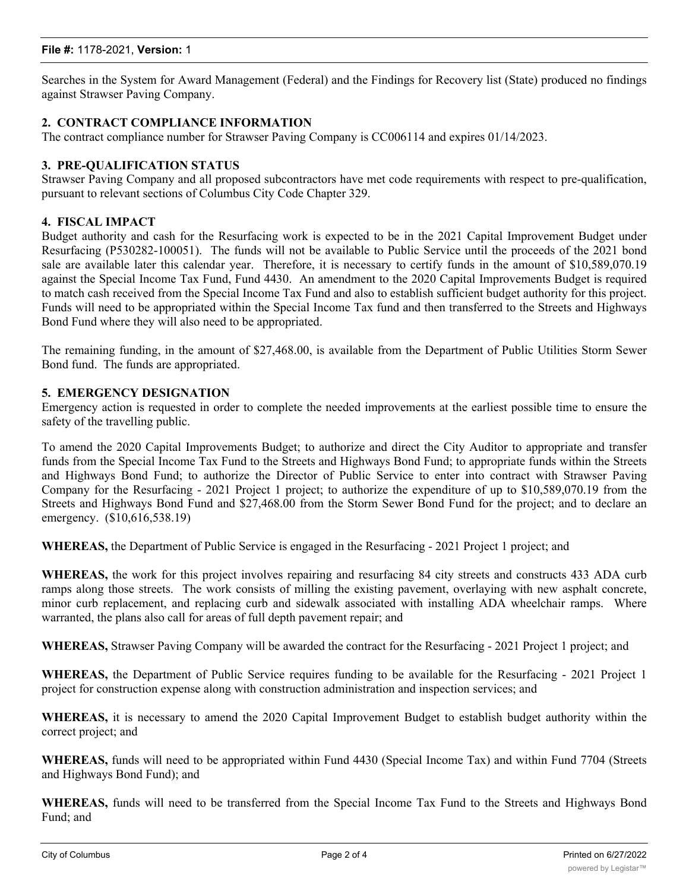#### **File #:** 1178-2021, **Version:** 1

Searches in the System for Award Management (Federal) and the Findings for Recovery list (State) produced no findings against Strawser Paving Company.

#### **2. CONTRACT COMPLIANCE INFORMATION**

The contract compliance number for Strawser Paving Company is CC006114 and expires 01/14/2023.

#### **3. PRE-QUALIFICATION STATUS**

Strawser Paving Company and all proposed subcontractors have met code requirements with respect to pre-qualification, pursuant to relevant sections of Columbus City Code Chapter 329.

#### **4. FISCAL IMPACT**

Budget authority and cash for the Resurfacing work is expected to be in the 2021 Capital Improvement Budget under Resurfacing (P530282-100051). The funds will not be available to Public Service until the proceeds of the 2021 bond sale are available later this calendar year. Therefore, it is necessary to certify funds in the amount of \$10,589,070.19 against the Special Income Tax Fund, Fund 4430. An amendment to the 2020 Capital Improvements Budget is required to match cash received from the Special Income Tax Fund and also to establish sufficient budget authority for this project. Funds will need to be appropriated within the Special Income Tax fund and then transferred to the Streets and Highways Bond Fund where they will also need to be appropriated.

The remaining funding, in the amount of \$27,468.00, is available from the Department of Public Utilities Storm Sewer Bond fund. The funds are appropriated.

#### **5. EMERGENCY DESIGNATION**

Emergency action is requested in order to complete the needed improvements at the earliest possible time to ensure the safety of the travelling public.

To amend the 2020 Capital Improvements Budget; to authorize and direct the City Auditor to appropriate and transfer funds from the Special Income Tax Fund to the Streets and Highways Bond Fund; to appropriate funds within the Streets and Highways Bond Fund; to authorize the Director of Public Service to enter into contract with Strawser Paving Company for the Resurfacing - 2021 Project 1 project; to authorize the expenditure of up to \$10,589,070.19 from the Streets and Highways Bond Fund and \$27,468.00 from the Storm Sewer Bond Fund for the project; and to declare an emergency. (\$10,616,538.19)

**WHEREAS,** the Department of Public Service is engaged in the Resurfacing - 2021 Project 1 project; and

**WHEREAS,** the work for this project involves repairing and resurfacing 84 city streets and constructs 433 ADA curb ramps along those streets. The work consists of milling the existing pavement, overlaying with new asphalt concrete, minor curb replacement, and replacing curb and sidewalk associated with installing ADA wheelchair ramps. Where warranted, the plans also call for areas of full depth pavement repair; and

**WHEREAS,** Strawser Paving Company will be awarded the contract for the Resurfacing - 2021 Project 1 project; and

**WHEREAS,** the Department of Public Service requires funding to be available for the Resurfacing - 2021 Project 1 project for construction expense along with construction administration and inspection services; and

**WHEREAS,** it is necessary to amend the 2020 Capital Improvement Budget to establish budget authority within the correct project; and

**WHEREAS,** funds will need to be appropriated within Fund 4430 (Special Income Tax) and within Fund 7704 (Streets and Highways Bond Fund); and

**WHEREAS,** funds will need to be transferred from the Special Income Tax Fund to the Streets and Highways Bond Fund; and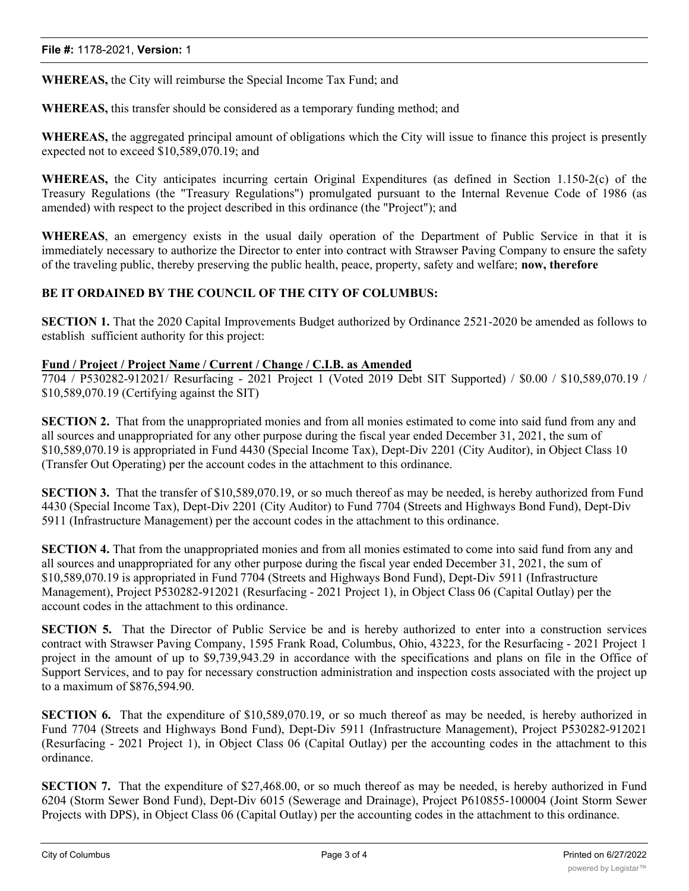**WHEREAS,** the City will reimburse the Special Income Tax Fund; and

**WHEREAS,** this transfer should be considered as a temporary funding method; and

**WHEREAS,** the aggregated principal amount of obligations which the City will issue to finance this project is presently expected not to exceed \$10,589,070.19; and

**WHEREAS,** the City anticipates incurring certain Original Expenditures (as defined in Section 1.150-2(c) of the Treasury Regulations (the "Treasury Regulations") promulgated pursuant to the Internal Revenue Code of 1986 (as amended) with respect to the project described in this ordinance (the "Project"); and

**WHEREAS**, an emergency exists in the usual daily operation of the Department of Public Service in that it is immediately necessary to authorize the Director to enter into contract with Strawser Paving Company to ensure the safety of the traveling public, thereby preserving the public health, peace, property, safety and welfare; **now, therefore**

#### **BE IT ORDAINED BY THE COUNCIL OF THE CITY OF COLUMBUS:**

**SECTION 1.** That the 2020 Capital Improvements Budget authorized by Ordinance 2521-2020 be amended as follows to establish sufficient authority for this project:

#### **Fund / Project / Project Name / Current / Change / C.I.B. as Amended**

7704 / P530282-912021/ Resurfacing - 2021 Project 1 (Voted 2019 Debt SIT Supported) / \$0.00 / \$10,589,070.19 / \$10,589,070.19 (Certifying against the SIT)

**SECTION 2.** That from the unappropriated monies and from all monies estimated to come into said fund from any and all sources and unappropriated for any other purpose during the fiscal year ended December 31, 2021, the sum of \$10,589,070.19 is appropriated in Fund 4430 (Special Income Tax), Dept-Div 2201 (City Auditor), in Object Class 10 (Transfer Out Operating) per the account codes in the attachment to this ordinance.

**SECTION 3.** That the transfer of \$10,589,070.19, or so much thereof as may be needed, is hereby authorized from Fund 4430 (Special Income Tax), Dept-Div 2201 (City Auditor) to Fund 7704 (Streets and Highways Bond Fund), Dept-Div 5911 (Infrastructure Management) per the account codes in the attachment to this ordinance.

**SECTION 4.** That from the unappropriated monies and from all monies estimated to come into said fund from any and all sources and unappropriated for any other purpose during the fiscal year ended December 31, 2021, the sum of \$10,589,070.19 is appropriated in Fund 7704 (Streets and Highways Bond Fund), Dept-Div 5911 (Infrastructure Management), Project P530282-912021 (Resurfacing - 2021 Project 1), in Object Class 06 (Capital Outlay) per the account codes in the attachment to this ordinance.

**SECTION 5.** That the Director of Public Service be and is hereby authorized to enter into a construction services contract with Strawser Paving Company, 1595 Frank Road, Columbus, Ohio, 43223, for the Resurfacing - 2021 Project 1 project in the amount of up to \$9,739,943.29 in accordance with the specifications and plans on file in the Office of Support Services, and to pay for necessary construction administration and inspection costs associated with the project up to a maximum of \$876,594.90.

**SECTION 6.** That the expenditure of \$10,589,070.19, or so much thereof as may be needed, is hereby authorized in Fund 7704 (Streets and Highways Bond Fund), Dept-Div 5911 (Infrastructure Management), Project P530282-912021 (Resurfacing - 2021 Project 1), in Object Class 06 (Capital Outlay) per the accounting codes in the attachment to this ordinance.

**SECTION** 7. That the expenditure of \$27,468.00, or so much thereof as may be needed, is hereby authorized in Fund 6204 (Storm Sewer Bond Fund), Dept-Div 6015 (Sewerage and Drainage), Project P610855-100004 (Joint Storm Sewer Projects with DPS), in Object Class 06 (Capital Outlay) per the accounting codes in the attachment to this ordinance.